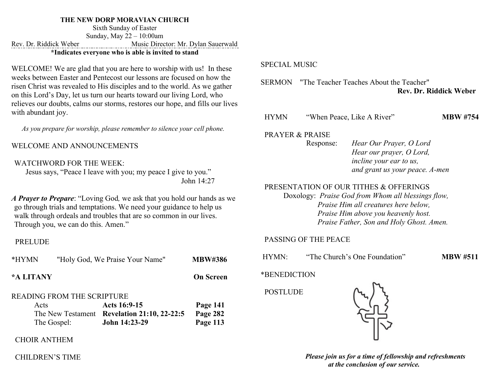#### **THE NEW DORP MORAVIAN CHURCH**

Sixth Sunday of Easter Sunday, May 22 – 10:00am Rev. Dr. Riddick Weber Music Director: Mr. Dylan Sauerwald **\*Indicates everyone who is able is invited to stand**

WELCOME! We are glad that you are here to worship with us! In these weeks between Easter and Pentecost our lessons are focused on how the risen Christ was revealed to His disciples and to the world. As we gather on this Lord's Day, let us turn our hearts toward our living Lord, who relieves our doubts, calms our storms, restores our hope, and fills our lives with abundant joy.

*As you prepare for worship, please remember to silence your cell phone.*

WELCOME AND ANNOUNCEMENTS

#### WATCHWORD FOR THE WEEK:

 Jesus says, "Peace I leave with you; my peace I give to you." John 14:27

*A Prayer to Prepare*: "Loving God*,* we ask that you hold our hands as we go through trials and temptations. We need your guidance to help us walk through ordeals and troubles that are so common in our lives. Through you, we can do this. Amen."

#### PRELUDE

| *HYMN                             |             | "Holy God, We Praise Your Name"             | <b>MBW#386</b>   |
|-----------------------------------|-------------|---------------------------------------------|------------------|
| *A LITANY                         |             |                                             | <b>On Screen</b> |
| <b>READING FROM THE SCRIPTURE</b> |             |                                             |                  |
| Acts                              |             | Acts 16:9-15                                | Page 141         |
|                                   |             | The New Testament Revelation 21:10, 22-22:5 | Page 282         |
|                                   | The Gospel: | John 14:23-29                               | Page 113         |

#### CHOIR ANTHEM

#### CHILDREN'S TIME

#### SPECIAL MUSIC

SERMON "The Teacher Teaches About the Teacher" **Rev. Dr. Riddick Weber**

HYMN "When Peace, Like A River" **MBW #754**

PRAYER & PRAISE

Response: *Hear Our Prayer, O Lord Hear our prayer, O Lord, incline your ear to us, and grant us your peace. A-men* 

## PRESENTATION OF OUR TITHES & OFFERINGS

Doxology: *Praise God from Whom all blessings flow, Praise Him all creatures here below, Praise Him above you heavenly host. Praise Father, Son and Holy Ghost. Amen.* 

#### PASSING OF THE PEACE

HYMN: "The Church's One Foundation" **MBW #511**

\*BENEDICTION

POSTLUDE



*Please join us for a time of fellowship and refreshments at the conclusion of our service.*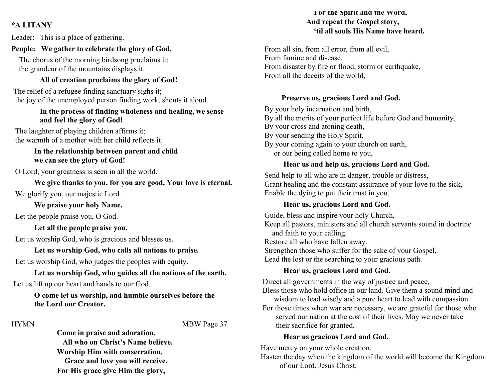## **\*A LITANY**

Leader: This is a place of gathering.

#### **People: We gather to celebrate the glory of God.**

 The chorus of the morning birdsong proclaims it; the grandeur of the mountains displays it.

#### **All of creation proclaims the glory of God!**

The relief of a refugee finding sanctuary sighs it; the joy of the unemployed person finding work, shouts it aloud.

#### **In the process of finding wholeness and healing, we sense and feel the glory of God!**

The laughter of playing children affirms it; the warmth of a mother with her child reflects it.

#### **In the relationship between parent and child we can see the glory of God!**

O Lord, your greatness is seen in all the world.

 **We give thanks to you, for you are good. Your love is eternal.** We glorify you, our majestic Lord.

 **We praise your holy Name.** 

Let the people praise you, O God.

 **Let all the people praise you.**

Let us worship God, who is gracious and blesses us.

 **Let us worship God, who calls all nations to praise.**

Let us worship God, who judges the peoples with equity.

## **Let us worship God, who guides all the nations of the earth.** Let us lift up our heart and hands to our God.

## **O come let us worship, and humble ourselves before the the Lord our Creator.**

HYMN MBW Page 37

**Come in praise and adoration, All who on Christ's Name believe. Worship Him with consecration, Grace and love you will receive. For His grace give Him the glory,**

## **For the Spirit and the Word, And repeat the Gospel story, 'til all souls His Name have heard.**

 From all sin, from all error, from all evil, From famine and disease, From disaster by fire or flood, storm or earthquake, From all the deceits of the world,

## **Preserve us, gracious Lord and God.**

By your holy incarnation and birth,

- By all the merits of your perfect life before God and humanity,
- By your cross and atoning death,
- By your sending the Holy Spirit,
- By your coming again to your church on earth, or our being called home to you,

# **Hear us and help us, gracious Lord and God.**

 Send help to all who are in danger, trouble or distress, Grant healing and the constant assurance of your love to the sick, Enable the dying to put their trust in you.

# **Hear us, gracious Lord and God.**

 Guide, bless and inspire your holy Church, Keep all pastors, ministers and all church servants sound in doctrine and faith to your calling. Restore all who have fallen away. Strengthen those who suffer for the sake of your Gospel, Lead the lost or the searching to your gracious path.

# **Hear us, gracious Lord and God.**

Direct all governments in the way of justice and peace, Bless those who hold office in our land. Give them a sound mind and wisdom to lead wisely and a pure heart to lead with compassion. For those times when war are necessary, we are grateful for those who served our nation at the cost of their lives. May we never take their sacrifice for granted.

## **Hear us gracious Lord and God.**

Have mercy on your whole creation,

Hasten the day when the kingdom of the world will become the Kingdom of our Lord, Jesus Christ;